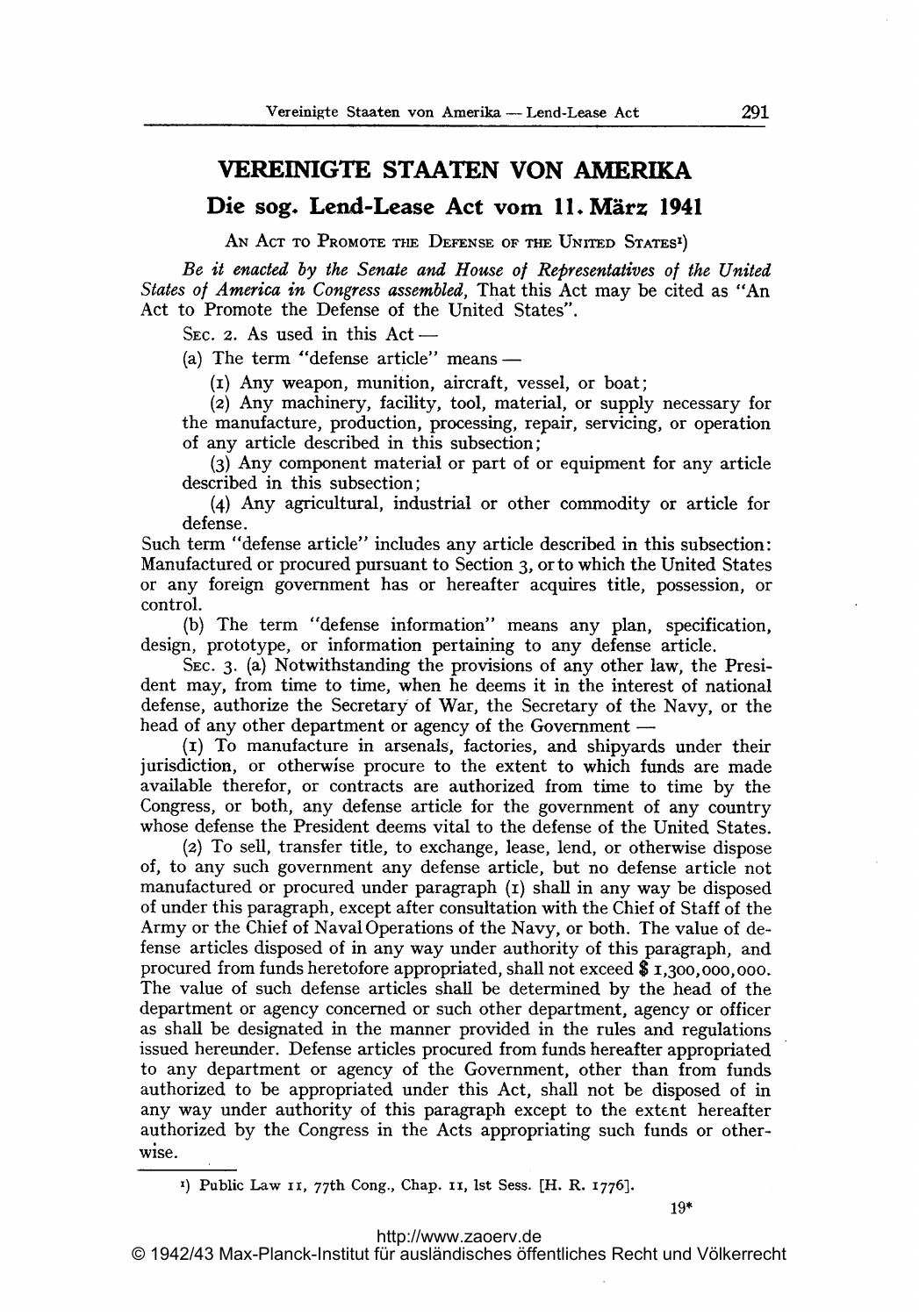## VEREINIGTE STAATEN VON AMERIKA

Die sog. Lend-Lease Aet vom 11. März <sup>1941</sup>

AN ACT TO PROMOTE THE DEFENSE OF THE UNITED STATES<sup>I</sup>)

Be it enacted by the Senate and House of Representatives of the United States of America in Congress assembled, That this Act may be cited as "An Act to Promote the Defense of the United States".

SEC. 2. As used in this  $Act -$ 

(a) The term "defense article" means  $-$ 

(i) Any weapon, munition, aircraft, vessel, or boat;

(2) Any machinery, facility, tool, material, or supply necessary for the manufacture, production, processing, repair, servicing, or operation of any article described in this subsection;

(3) Any component material or part of or equipment for any article described in this subsection;

(4) Any agricultural, industrial or other commodity or article for defense.

Such term "defense article" includes any article described in this subsection: Manufactured or procured pursuant to Section 3, orto which the United States or any foreign government has or hereafter acquires title, possession, or control.

(b) The term "defense information" means any plan, specification, design, prototype, or information pertaining to any defense article.

SEc- 3. (a) Notwithstanding the provisions of any other law, the President may, from time to time, when he deems it in the interest of national defense, authorize the Secretary of War, the Secretary of the Navy, or the head of any other department or agency of the Government —

(i) To manufacture in arsenals, factories, and shipyards under their jurisdiction, or otherwise procure to the extent to which funds are made available therefor, or contracts are authorized from time to time by the Congress, or both, any defense article for the government of any country whose defense the President deems vital to the defense of the United States.

(z) To sell, transfer title, to exchange, lease, lend, or otherwise dispose of, to any such government any defense article, but no defense article not manufactured or procured under paragraph  $(r)$  shall in any way be disposed of under this paragraph, except after consultation with the Chief of Staff of the Army or the Chief of Naval Operations of the Navy, or both. The value of defense articles disposed of in any way under authority of this paragraph, and procured from funds heretofore appropriated, shall not exceed \$1,300,000,000. The value of such defense articles shall be determined by the head of the department or agency concerned or such other department, agency or officer as sball be designated in the manner provided in the rules and regulations issued hereunder. Defense articles procured from funds hereafter appropriated to any department or agency of the Government, other than from funds authorized to be appropriated under this Act, shall not be disposed of in any way under authority of this paragraph except to the extent hereafter authorized by the Congress in the Acts appropriating such funds or otherwise.

<sup>1</sup>) Public Law II, 77th Cong., Chap. II, Ist Sess. [H. R. 1776].

<http://www.zaoerv.de>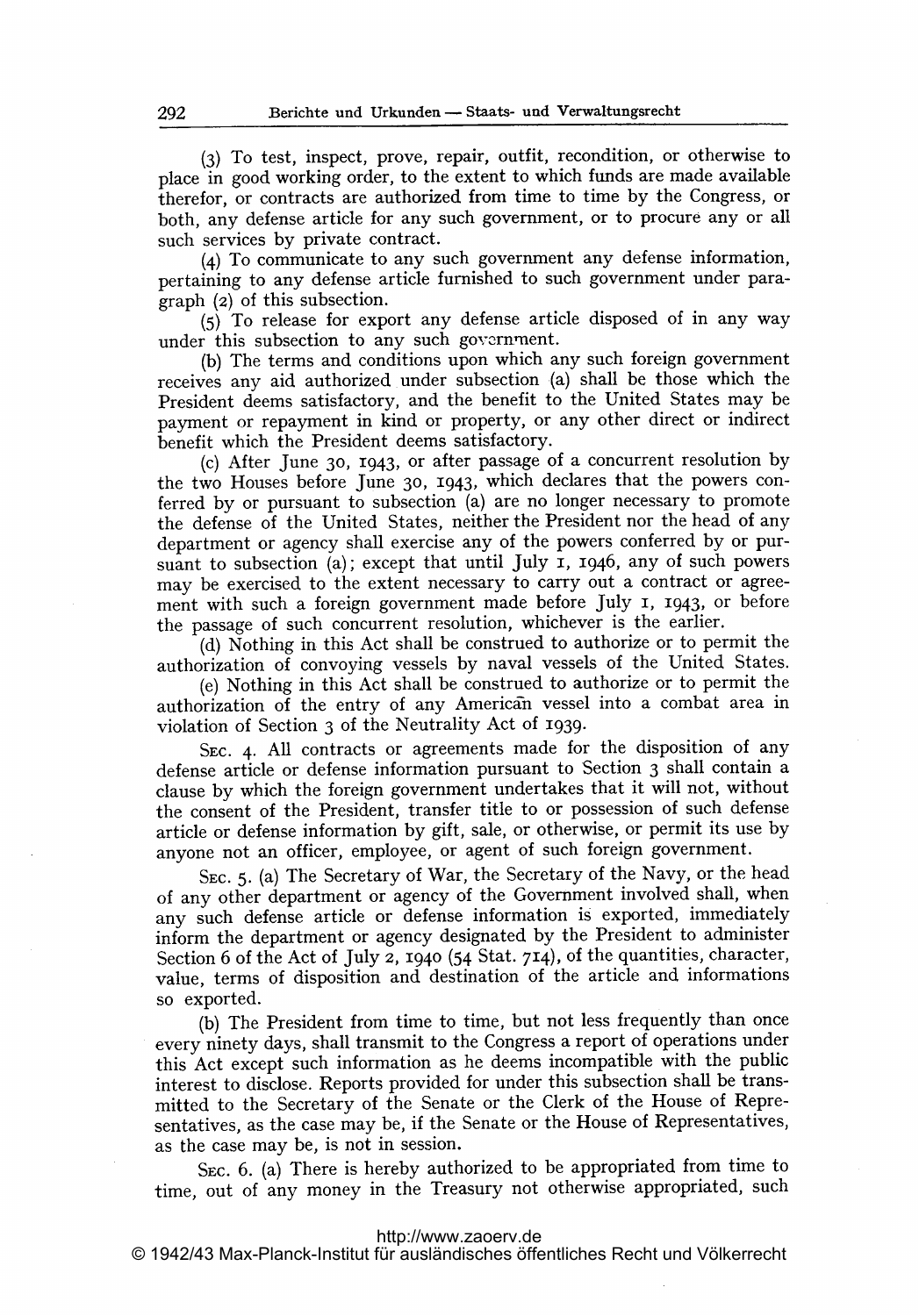(3) To test, inspect, prove, repair, outfit, recondition, or otherwise to place in good working order, to the extent to which funds are made available therefor, or contracts are authorized from time to time by the Congress, or both, any defense article for any such government, or to procure any or all such services by private contract.

 $(4)$  To communicate to any such government any defense information, pertaining to any defense article furnished to such government under paragraph (2) of this subsection.

(5) To release for export any defense article disposed of in any way under this subsection to any such government.

(b) The terms and conditions upon which any such foreign government receives any aid authorized under subsection (a) shall be those which the President deems satisfactory, and the benefit to the United States may be payment or repayment in kind or property, or any other direct or indirect benefit which the President deems satisfactory.

(c) After June 30, 1943, or after passage of a concurrent resolution by the two Houses before June 30, 1943, which declares that the powers conferred by or pursuant to subsection (a) are no longer necessary to promote the defense of the United States, neither the President nor the head of any department or agency shall exercise any of the powers conferred by or pursuant to subsection (a); except that until July 1, 1946, any of such powers may be exercised to the extent necessary to carry out <sup>a</sup> contract or agreement with such <sup>a</sup> foreign government made before July 1, 1943, or before the passage of such concurrent resolution, whichever is the earlier.

(d) Nothing in this Act shall be construed to authorize or to permit the authorization of convoying vessels by naval vessels of the United States.

(e) Nothing in this Act shall be construed to authorize or to permit the authorization of the entry of any American vessel into a combat area in violation of Section 3 of the Neutrality Act of 1939.

SEC. 4. All contracts or agreements made for the disposition of any defense article or defense information pursuant to Section <sup>3</sup> shall contain a clause by which the foreign government undertakes that it will not, without the consent of the President, transfer title to or possession of such defense article or defense information by gift, sale, or otherwise, or permit its use by anyone not an officer, employee, or agent of such foreign government.

SEC. 5. (a) The Secretary of War, the Secretary of the Navy, or the head of any other department or agency of the Government involved shall, when any such defense article or defense information is exported, immediately inform the department or agency designated by the President to administer Section 6 of the Act of July 2, 1940 (54 Stat. 74), of the quantities, character, value, terms of disposition and destination of the article and informations so exported.

(b) The President from time to time, but not less frequently than once every ninety days, shall transmit to the Congress <sup>a</sup> report of operations under this Act except such information as he deems incompatible with the public interest to disclose. Reports provided for under this subsection shall be transmitted to the Secretary of the Senate or the Clerk of the House of Representatives, as the case may be, if the Senate or the House of Representatives, as the case may be, is not in session.

SEC. 6. (a) There is hereby authorized to be appropriated from time to time, out of any money in the Treasury not otherwise appropriated, such